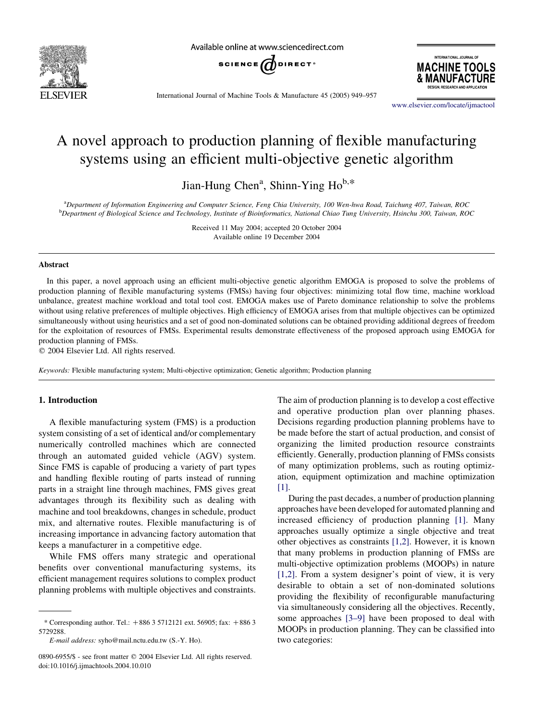

Available online at www.sciencedirect.com





International Journal of Machine Tools & Manufacture 45 (2005) 949–957

[www.elsevier.com/locate/ijmactool](http://www.elsevier.com/locate/ijmactool)

# A novel approach to production planning of flexible manufacturing systems using an efficient multi-objective genetic algorithm

Jian-Hung Chen<sup>a</sup>, Shinn-Ying Ho<sup>b,\*</sup>

a Department of Information Engineering and Computer Science, Feng Chia University, 100 Wen-hwa Road, Taichung 407, Taiwan, ROC b Department of Biological Science and Technology, Institute of Bioinformatics, National Chiao Tung University, Hsinchu 300, Taiwan, ROC

> Received 11 May 2004; accepted 20 October 2004 Available online 19 December 2004

#### Abstract

In this paper, a novel approach using an efficient multi-objective genetic algorithm EMOGA is proposed to solve the problems of production planning of flexible manufacturing systems (FMSs) having four objectives: minimizing total flow time, machine workload unbalance, greatest machine workload and total tool cost. EMOGA makes use of Pareto dominance relationship to solve the problems without using relative preferences of multiple objectives. High efficiency of EMOGA arises from that multiple objectives can be optimized simultaneously without using heuristics and a set of good non-dominated solutions can be obtained providing additional degrees of freedom for the exploitation of resources of FMSs. Experimental results demonstrate effectiveness of the proposed approach using EMOGA for production planning of FMSs.

 $Q$  2004 Elsevier Ltd. All rights reserved.

Keywords: Flexible manufacturing system; Multi-objective optimization; Genetic algorithm; Production planning

### 1. Introduction

A flexible manufacturing system (FMS) is a production system consisting of a set of identical and/or complementary numerically controlled machines which are connected through an automated guided vehicle (AGV) system. Since FMS is capable of producing a variety of part types and handling flexible routing of parts instead of running parts in a straight line through machines, FMS gives great advantages through its flexibility such as dealing with machine and tool breakdowns, changes in schedule, product mix, and alternative routes. Flexible manufacturing is of increasing importance in advancing factory automation that keeps a manufacturer in a competitive edge.

While FMS offers many strategic and operational benefits over conventional manufacturing systems, its efficient management requires solutions to complex product planning problems with multiple objectives and constraints.

E-mail address: syho@mail.nctu.edu.tw (S.-Y. Ho).

The aim of production planning is to develop a cost effective and operative production plan over planning phases. Decisions regarding production planning problems have to be made before the start of actual production, and consist of organizing the limited production resource constraints efficiently. Generally, production planning of FMSs consists of many optimization problems, such as routing optimization, equipment optimization and machine optimization [\[1\]](#page--1-0).

During the past decades, a number of production planning approaches have been developed for automated planning and increased efficiency of production planning [\[1\].](#page--1-0) Many approaches usually optimize a single objective and treat other objectives as constraints [\[1,2\].](#page--1-0) However, it is known that many problems in production planning of FMSs are multi-objective optimization problems (MOOPs) in nature [\[1,2\].](#page--1-0) From a system designer's point of view, it is very desirable to obtain a set of non-dominated solutions providing the flexibility of reconfigurable manufacturing via simultaneously considering all the objectives. Recently, some approaches [\[3–9\]](#page--1-0) have been proposed to deal with MOOPs in production planning. They can be classified into two categories:

<sup>\*</sup> Corresponding author. Tel.:  $+886$  3 5712121 ext. 56905; fax:  $+886$  3 5729288.

<sup>0890-6955/\$ -</sup> see front matter © 2004 Elsevier Ltd. All rights reserved. doi:10.1016/j.ijmachtools.2004.10.010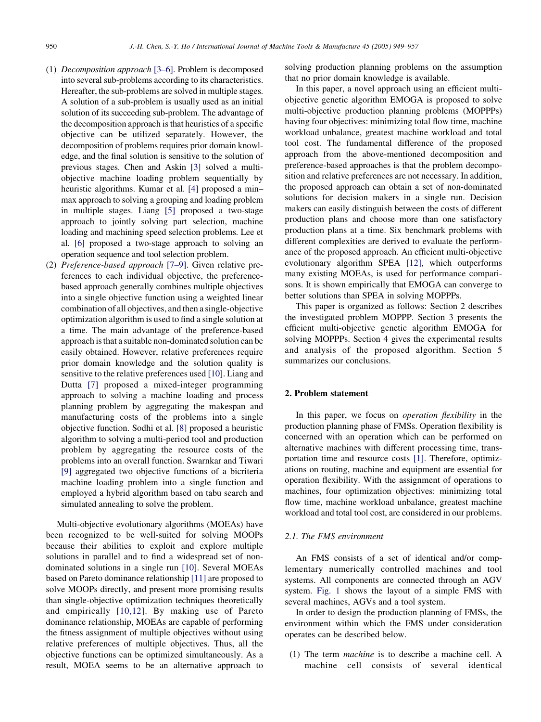- (1) Decomposition approach [\[3–6\]](#page--1-0). Problem is decomposed into several sub-problems according to its characteristics. Hereafter, the sub-problems are solved in multiple stages. A solution of a sub-problem is usually used as an initial solution of its succeeding sub-problem. The advantage of the decomposition approach is that heuristics of a specific objective can be utilized separately. However, the decomposition of problems requires prior domain knowledge, and the final solution is sensitive to the solution of previous stages. Chen and Askin [\[3\]](#page--1-0) solved a multiobjective machine loading problem sequentially by heuristic algorithms. Kumar et al. [\[4\]](#page--1-0) proposed a min– max approach to solving a grouping and loading problem in multiple stages. Liang [\[5\]](#page--1-0) proposed a two-stage approach to jointly solving part selection, machine loading and machining speed selection problems. Lee et al. [\[6\]](#page--1-0) proposed a two-stage approach to solving an operation sequence and tool selection problem.
- (2) Preference-based approach [\[7–9\]](#page--1-0). Given relative preferences to each individual objective, the preferencebased approach generally combines multiple objectives into a single objective function using a weighted linear combination of all objectives, and then a single-objective optimization algorithm is used to find a single solution at a time. The main advantage of the preference-based approach is that a suitable non-dominated solution can be easily obtained. However, relative preferences require prior domain knowledge and the solution quality is sensitive to the relative preferences used [\[10\]](#page--1-0). Liang and Dutta [\[7\]](#page--1-0) proposed a mixed-integer programming approach to solving a machine loading and process planning problem by aggregating the makespan and manufacturing costs of the problems into a single objective function. Sodhi et al. [\[8\]](#page--1-0) proposed a heuristic algorithm to solving a multi-period tool and production problem by aggregating the resource costs of the problems into an overall function. Swarnkar and Tiwari [\[9\]](#page--1-0) aggregated two objective functions of a bicriteria machine loading problem into a single function and employed a hybrid algorithm based on tabu search and simulated annealing to solve the problem.

Multi-objective evolutionary algorithms (MOEAs) have been recognized to be well-suited for solving MOOPs because their abilities to exploit and explore multiple solutions in parallel and to find a widespread set of nondominated solutions in a single run [\[10\].](#page--1-0) Several MOEAs based on Pareto dominance relationship [\[11\]](#page--1-0) are proposed to solve MOOPs directly, and present more promising results than single-objective optimization techniques theoretically and empirically [\[10,12\]](#page--1-0). By making use of Pareto dominance relationship, MOEAs are capable of performing the fitness assignment of multiple objectives without using relative preferences of multiple objectives. Thus, all the objective functions can be optimized simultaneously. As a result, MOEA seems to be an alternative approach to

solving production planning problems on the assumption that no prior domain knowledge is available.

In this paper, a novel approach using an efficient multiobjective genetic algorithm EMOGA is proposed to solve multi-objective production planning problems (MOPPPs) having four objectives: minimizing total flow time, machine workload unbalance, greatest machine workload and total tool cost. The fundamental difference of the proposed approach from the above-mentioned decomposition and preference-based approaches is that the problem decomposition and relative preferences are not necessary. In addition, the proposed approach can obtain a set of non-dominated solutions for decision makers in a single run. Decision makers can easily distinguish between the costs of different production plans and choose more than one satisfactory production plans at a time. Six benchmark problems with different complexities are derived to evaluate the performance of the proposed approach. An efficient multi-objective evolutionary algorithm SPEA [\[12\],](#page--1-0) which outperforms many existing MOEAs, is used for performance comparisons. It is shown empirically that EMOGA can converge to better solutions than SPEA in solving MOPPPs.

This paper is organized as follows: Section 2 describes the investigated problem MOPPP. Section 3 presents the efficient multi-objective genetic algorithm EMOGA for solving MOPPPs. Section 4 gives the experimental results and analysis of the proposed algorithm. Section 5 summarizes our conclusions.

## 2. Problem statement

In this paper, we focus on *operation flexibility* in the production planning phase of FMSs. Operation flexibility is concerned with an operation which can be performed on alternative machines with different processing time, transportation time and resource costs [\[1\].](#page--1-0) Therefore, optimizations on routing, machine and equipment are essential for operation flexibility. With the assignment of operations to machines, four optimization objectives: minimizing total flow time, machine workload unbalance, greatest machine workload and total tool cost, are considered in our problems.

### 2.1. The FMS environment

An FMS consists of a set of identical and/or complementary numerically controlled machines and tool systems. All components are connected through an AGV system. [Fig. 1](#page--1-0) shows the layout of a simple FMS with several machines, AGVs and a tool system.

In order to design the production planning of FMSs, the environment within which the FMS under consideration operates can be described below.

(1) The term machine is to describe a machine cell. A machine cell consists of several identical